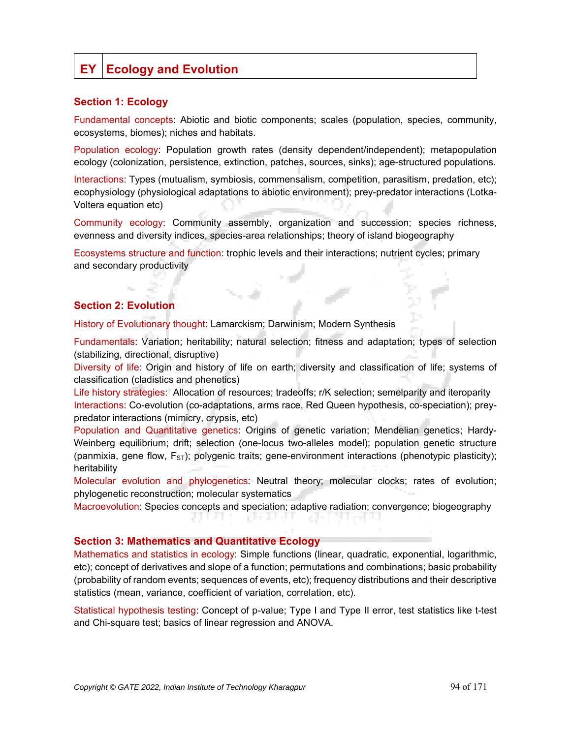# **EY Ecology and Evolution**

### **Section 1: Ecology**

Fundamental concepts: Abiotic and biotic components; scales (population, species, community, ecosystems, biomes); niches and habitats.

Population ecology: Population growth rates (density dependent/independent); metapopulation ecology (colonization, persistence, extinction, patches, sources, sinks); age-structured populations.

Interactions: Types (mutualism, symbiosis, commensalism, competition, parasitism, predation, etc); ecophysiology (physiological adaptations to abiotic environment); prey-predator interactions (Lotka-Voltera equation etc)

Community ecology: Community assembly, organization and succession; species richness, evenness and diversity indices, species-area relationships; theory of island biogeography

Ecosystems structure and function: trophic levels and their interactions; nutrient cycles; primary and secondary productivity

## **Section 2: Evolution**

History of Evolutionary thought: Lamarckism; Darwinism; Modern Synthesis

Fundamentals: Variation; heritability; natural selection; fitness and adaptation; types of selection (stabilizing, directional, disruptive)

Diversity of life: Origin and history of life on earth; diversity and classification of life; systems of classification (cladistics and phenetics)

Life history strategies: Allocation of resources; tradeoffs; r/K selection; semelparity and iteroparity Interactions: Co-evolution (co-adaptations, arms race, Red Queen hypothesis, co-speciation); preypredator interactions (mimicry, crypsis, etc)

Population and Quantitative genetics: Origins of genetic variation; Mendelian genetics; Hardy-Weinberg equilibrium; drift; selection (one-locus two-alleles model); population genetic structure (panmixia, gene flow,  $F_{ST}$ ); polygenic traits; gene-environment interactions (phenotypic plasticity); heritability

Molecular evolution and phylogenetics: Neutral theory; molecular clocks; rates of evolution; phylogenetic reconstruction; molecular systematics

Macroevolution: Species concepts and speciation; adaptive radiation; convergence; biogeography

n in de

#### **Section 3: Mathematics and Quantitative Ecology**

Mathematics and statistics in ecology: Simple functions (linear, quadratic, exponential, logarithmic, etc); concept of derivatives and slope of a function; permutations and combinations; basic probability (probability of random events; sequences of events, etc); frequency distributions and their descriptive statistics (mean, variance, coefficient of variation, correlation, etc).

Statistical hypothesis testing: Concept of p-value; Type I and Type II error, test statistics like t-test and Chi-square test; basics of linear regression and ANOVA.